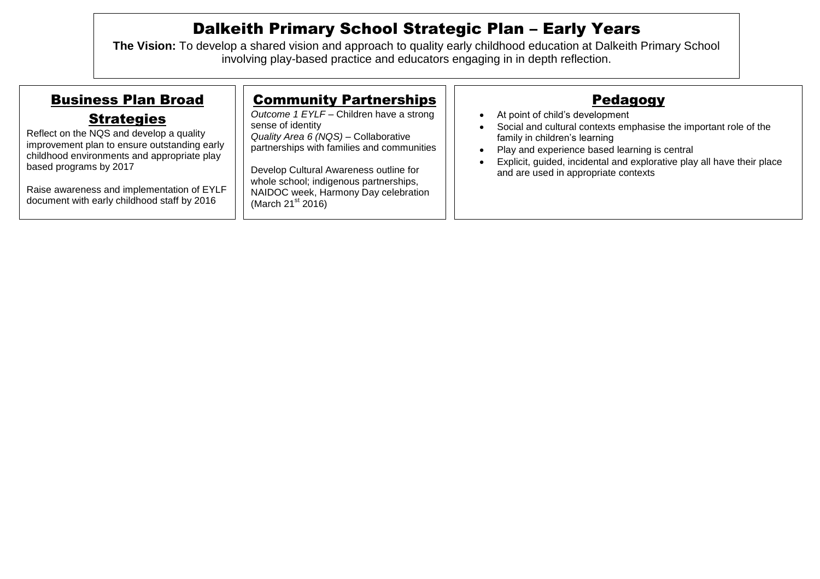## Dalkeith Primary School Strategic Plan – Early Years

**The Vision:** To develop a shared vision and approach to quality early childhood education at Dalkeith Primary School involving play-based practice and educators engaging in in depth reflection.

| <b>Business Plan Broad</b>                                                                                                                                                                                                                                                          | <b>Community Partnerships</b>                                                                                                                                                                                                                                                                            | <b>Pedagogy</b>                                                                                                                                                                                                                                                                                         |
|-------------------------------------------------------------------------------------------------------------------------------------------------------------------------------------------------------------------------------------------------------------------------------------|----------------------------------------------------------------------------------------------------------------------------------------------------------------------------------------------------------------------------------------------------------------------------------------------------------|---------------------------------------------------------------------------------------------------------------------------------------------------------------------------------------------------------------------------------------------------------------------------------------------------------|
| <b>Strategies</b><br>Reflect on the NQS and develop a quality<br>improvement plan to ensure outstanding early<br>childhood environments and appropriate play<br>based programs by 2017<br>Raise awareness and implementation of EYLF<br>document with early childhood staff by 2016 | Outcome 1 EYLF - Children have a strong<br>sense of identity<br>Quality Area 6 (NQS) - Collaborative<br>partnerships with families and communities<br>Develop Cultural Awareness outline for<br>whole school; indigenous partnerships,<br>NAIDOC week, Harmony Day celebration<br>(March $21^{st}$ 2016) | At point of child's development<br>Social and cultural contexts emphasise the important role of the<br>family in children's learning<br>Play and experience based learning is central<br>Explicit, guided, incidental and explorative play all have their place<br>and are used in appropriate contexts |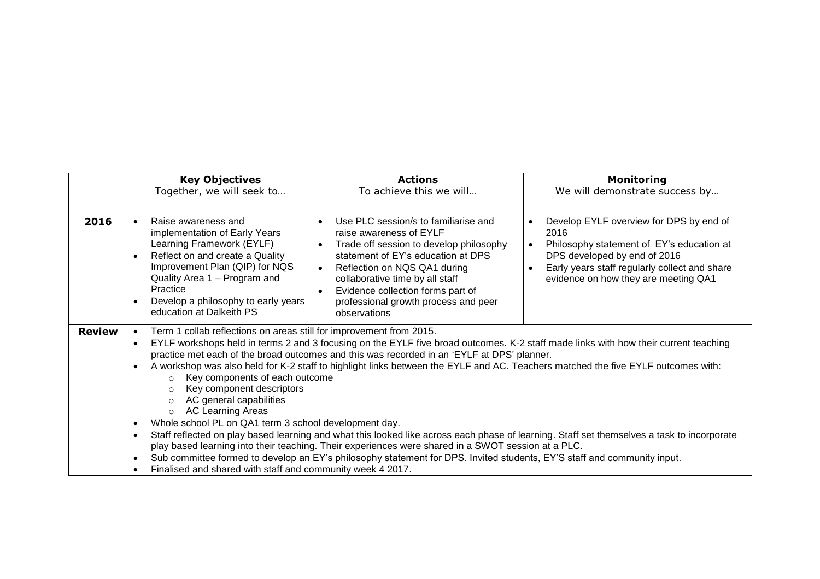|               | <b>Key Objectives</b><br>Together, we will seek to                                                                                                                                                                                                                                                                                                                                                                                                                                                                                                                                                                                                                                                                                                                                                                                                                                                                                                                                                                                                                                                                   | <b>Actions</b><br>To achieve this we will                                                                                                                                                                                                                                                                                                               | <b>Monitoring</b><br>We will demonstrate success by                                                                                                                                                                                                          |  |
|---------------|----------------------------------------------------------------------------------------------------------------------------------------------------------------------------------------------------------------------------------------------------------------------------------------------------------------------------------------------------------------------------------------------------------------------------------------------------------------------------------------------------------------------------------------------------------------------------------------------------------------------------------------------------------------------------------------------------------------------------------------------------------------------------------------------------------------------------------------------------------------------------------------------------------------------------------------------------------------------------------------------------------------------------------------------------------------------------------------------------------------------|---------------------------------------------------------------------------------------------------------------------------------------------------------------------------------------------------------------------------------------------------------------------------------------------------------------------------------------------------------|--------------------------------------------------------------------------------------------------------------------------------------------------------------------------------------------------------------------------------------------------------------|--|
| 2016          | Raise awareness and<br>$\bullet$<br>implementation of Early Years<br>Learning Framework (EYLF)<br>Reflect on and create a Quality<br>$\bullet$<br>Improvement Plan (QIP) for NQS<br>Quality Area 1 - Program and<br>Practice<br>Develop a philosophy to early years<br>$\bullet$<br>education at Dalkeith PS                                                                                                                                                                                                                                                                                                                                                                                                                                                                                                                                                                                                                                                                                                                                                                                                         | Use PLC session/s to familiarise and<br>$\bullet$<br>raise awareness of EYLF<br>Trade off session to develop philosophy<br>$\bullet$<br>statement of EY's education at DPS<br>Reflection on NQS QA1 during<br>$\bullet$<br>collaborative time by all staff<br>Evidence collection forms part of<br>professional growth process and peer<br>observations | Develop EYLF overview for DPS by end of<br>$\bullet$<br>2016<br>Philosophy statement of EY's education at<br>$\bullet$<br>DPS developed by end of 2016<br>Early years staff regularly collect and share<br>$\bullet$<br>evidence on how they are meeting QA1 |  |
| <b>Review</b> | Term 1 collab reflections on areas still for improvement from 2015.<br>EYLF workshops held in terms 2 and 3 focusing on the EYLF five broad outcomes. K-2 staff made links with how their current teaching<br>practice met each of the broad outcomes and this was recorded in an 'EYLF at DPS' planner.<br>A workshop was also held for K-2 staff to highlight links between the EYLF and AC. Teachers matched the five EYLF outcomes with:<br>Key components of each outcome<br>$\circ$<br>Key component descriptors<br>$\circ$<br>AC general capabilities<br>$\circ$<br><b>AC Learning Areas</b><br>$\circ$<br>Whole school PL on QA1 term 3 school development day.<br>Staff reflected on play based learning and what this looked like across each phase of learning. Staff set themselves a task to incorporate<br>play based learning into their teaching. Their experiences were shared in a SWOT session at a PLC.<br>Sub committee formed to develop an EY's philosophy statement for DPS. Invited students, EY'S staff and community input.<br>Finalised and shared with staff and community week 4 2017. |                                                                                                                                                                                                                                                                                                                                                         |                                                                                                                                                                                                                                                              |  |